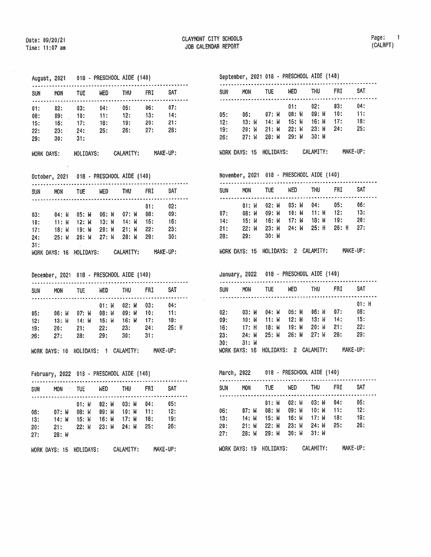## August, <sup>2021</sup> <sup>018</sup> PRESCHOOL AIDE (140)

| <b>SUN</b>                      | MON                                 | <b>TUE</b>                                        | <b>NED</b>                 | <b>THU</b> | <b>FRI</b>          | <b>SAT</b>                     |
|---------------------------------|-------------------------------------|---------------------------------------------------|----------------------------|------------|---------------------|--------------------------------|
| 01:<br>08:<br>15:<br>22:<br>29: | 02:<br>16: 17:<br>23: 24:<br>$-30:$ | 03:<br>$0.9$ : $10$ : $11$ : $12$ : $13$ :<br>31: | 04: 05:<br>$-18:$<br>- 25: | 19:<br>26: | - 06:<br>20:<br>27: | 07:<br>$-14:$<br>$-21:$<br>28: |

|  |  | WORK DAYS: | HOLIDAYS: | CALAMITY: | MAKE-UP: |
|--|--|------------|-----------|-----------|----------|
|--|--|------------|-----------|-----------|----------|

October, 2021 018 - PRESCHOOL AIDE (140)

| <b>SUN</b><br><b>MON</b>     | TUE            | <b>WED</b>     | <b>THU</b>       | FRI        | <b>SAT</b> |
|------------------------------|----------------|----------------|------------------|------------|------------|
|                              |                |                |                  | 01:<br>08: | 02:<br>09: |
| 03:<br>04: W<br>10:<br>11: W | 05: W<br>12: M | 06: W<br>13: И | $07:$ M<br>14: W | 15:        | 16:        |
| 17:<br>18: W                 | 19: W          | $20:$ W        | 21: M            | 22:        | 23:        |
| 24:<br>25: W                 | 26: W          | $27:$ W        | 28: W            | 29:        | 30:        |
| 31:<br>WORK DAYS: 16         | HOLIDAYS:      |                | CALAMITY:        |            | MAKE-UP:   |
|                              |                |                |                  |            |            |

December, 2021 018 - PRESCHOOL AIDE (140)

| <b>SUN</b>               | <b>MON</b>                   | TUE                                   | WED                              | <b>THU</b>                                        | <b>FRI</b>               | SAT                           |
|--------------------------|------------------------------|---------------------------------------|----------------------------------|---------------------------------------------------|--------------------------|-------------------------------|
| 05:<br>12:<br>19:<br>26: | 06: W<br>13: W<br>20:<br>27: | 07: W 08: W<br>14: W<br>$-21:$<br>28: | $01:$ $W$<br>15: W<br>22:<br>29: | 02: W<br>09: W 10:<br>- 16: W<br>$-23:$<br>- 30 : | 03:<br>17:<br>24:<br>31: | 04:<br>$-11:$<br>18:<br>25: H |

WORK DAYS: 10 HOLIDAYS: 1 CALAMITY: MAKE-UP:

February, 2022 018 - PRESCHOOL AIDE (140)

| <b>SUN</b>               | <b>MON</b>                            | <b>SINCE</b> | <b>WED</b>                                                                     | <b>THU</b> | <b>FRI</b>        | <b>SAT</b>               |
|--------------------------|---------------------------------------|--------------|--------------------------------------------------------------------------------|------------|-------------------|--------------------------|
| 06:<br>13:<br>20:<br>27: | 07: W<br>$-14:$ M<br>21:<br>$28:$ $N$ | 01: W        | 02: W 03: W<br>08: W 09: W 10: W 11:<br>15: W 16: W 17: W<br>22: W 23: W 24: W |            | 04:<br>18:<br>25: | 05:<br>12:<br>19:<br>26: |

WORK DAYS: 15 HOLIDAYS: CALAMITY: MAKE-UP:

## September, 2021 018 - PRESCHOOL AIDE (140)

| <b>SUN</b> | <b>MON</b> | <b>TUE</b> | <b>HED</b> | <b>THU</b>            | <b>FRI</b> | <b>SAT</b> |  |
|------------|------------|------------|------------|-----------------------|------------|------------|--|
|            |            |            | 01:        | 02:                   | $-03:$     | 04:        |  |
| 05:        | 06:        |            |            | 07: W 08: W 09: W 10: |            | $-11:$     |  |
| 12:        | - 13: W    | 14: W      | 15: W      | 16: W                 | 17:        | 1B:        |  |
| 19:        | 20: M      | 21: W      | $22:$ $M$  | 23: W                 | 24:        | 25:        |  |
| 26:        | 27: W      | $28:$ M    | 29: W      | - 30: W               |            |            |  |
|            |            |            |            |                       |            |            |  |

WORK DAYS: 15 HOLIDAYS: CALAMITY: MAKE-UP:

Novenber, 2021 018 - PRESCHOOL AIDE (140)

| SUN<br>$- - -$ | MON                                 | <b>TUE</b> | <b>WED</b>        | <b>THU</b> | FRI.    | SAT      |  |
|----------------|-------------------------------------|------------|-------------------|------------|---------|----------|--|
|                | 01:W                                | 02: M      | 03: W             | 04:        | 05:     | 06:      |  |
| 07:            | 08: W                               |            | 09: W 10: W 11: W |            | 12:     | 13:      |  |
| 14:            | 15: W                               | 16: M      | 17: M             | 18: W      | 19:     | 20:      |  |
| 21:            | 22: W                               | 23: M      | 24: W             | 25: H      | $26:$ H | 27:      |  |
| 28:            | 29:                                 | 30: M      |                   |            |         |          |  |
|                | WORK DAYS: 15 HOLIDAYS: 2 CALAMITY: |            |                   |            |         | MAKE-UP: |  |

January, 2022 018 - PRESCHOOL AIDE (140) . . . . . .

| <b>SUN</b> | <b>MON</b>                          | TUE           | <b>WED</b> | <b>THU</b> |     | <b>SAT</b> |
|------------|-------------------------------------|---------------|------------|------------|-----|------------|
|            |                                     |               |            |            |     | 01: H      |
| 02:        | $03:$ M                             | 04: W         | $05:$ M    | $06:$ $W$  | 07: | 08:        |
| 09:        | 10: M                               | $11: W$ 12: M |            | - 13: W    | 14: | 15:        |
| 16:        | 17: H                               | 18: W         | 19: W      | $20:$ M    | 21: | 22:        |
| 23:        | 24: W                               | 25: M         | 26: M      | 27: W      | 28: | 29:        |
| 30:        | $31:$ $M$                           |               |            |            |     |            |
|            | WORK DAYS: 16 HOLIDAYS: 2 CALAMITY: |               |            |            |     | MAKE-UP:   |

March, 2022 018 - PRESCHOOL AIDE (140)

| <b>SUN</b> | <b>MON</b>    | <b>TUE</b> | <b>WED</b> | <b>THU</b> | <b>FRI</b> | <b>SAT</b> |  |
|------------|---------------|------------|------------|------------|------------|------------|--|
|            |               | 01: W      | $02:$ W    | 03: W      | 04:        | 05:        |  |
| 06:        | $07:$ $M$     | 08: W      | 09: W      | 10: M      | 11:        | 12:        |  |
| 13:        | 14: W         | 15: W      | $16:$ W    | 17: M      | 18:        | 19:        |  |
| 20:        | $21:$ W       | 22: W      | 23: W      | 24: W      | 25:        | 26:        |  |
| 27:        | 28: W         | 29: W      | $30:$ W    | $31:$ $M$  |            |            |  |
|            | WORK DAYS: 19 | HOLIDAYS:  |            | CALAMITY:  |            | MAKE-UP:   |  |